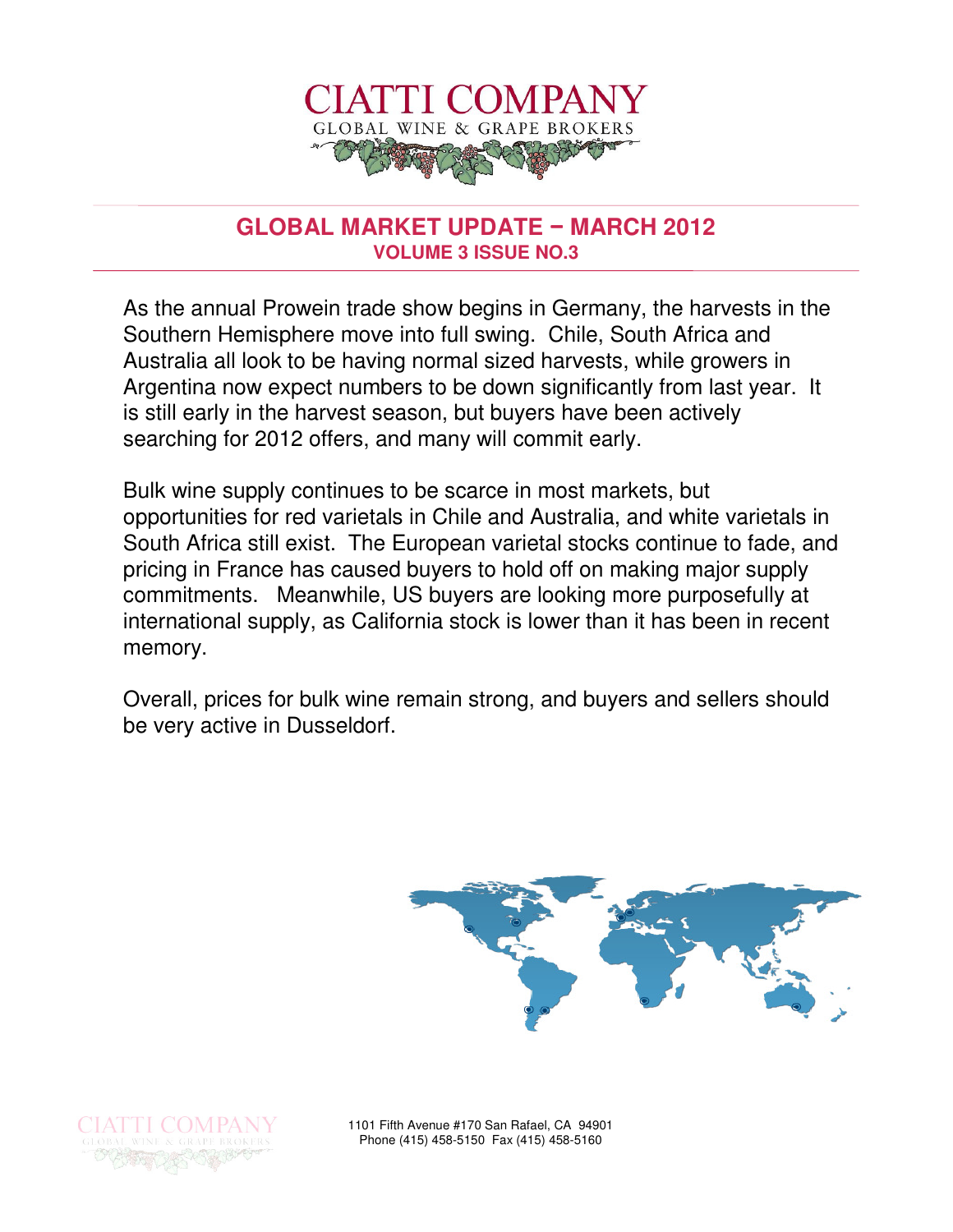

### **GLOBAL MARKET UPDATE** − **MARCH 2012 VOLUME 3 ISSUE NO.3**

As the annual Prowein trade show begins in Germany, the harvests in the Southern Hemisphere move into full swing. Chile, South Africa and Australia all look to be having normal sized harvests, while growers in Argentina now expect numbers to be down significantly from last year. It is still early in the harvest season, but buyers have been actively searching for 2012 offers, and many will commit early.

Bulk wine supply continues to be scarce in most markets, but opportunities for red varietals in Chile and Australia, and white varietals in South Africa still exist. The European varietal stocks continue to fade, and pricing in France has caused buyers to hold off on making major supply commitments. Meanwhile, US buyers are looking more purposefully at international supply, as California stock is lower than it has been in recent memory.

Overall, prices for bulk wine remain strong, and buyers and sellers should be very active in Dusseldorf.





1101 Fifth Avenue #170 San Rafael, CA 94901 Phone (415) 458-5150 Fax (415) 458-5160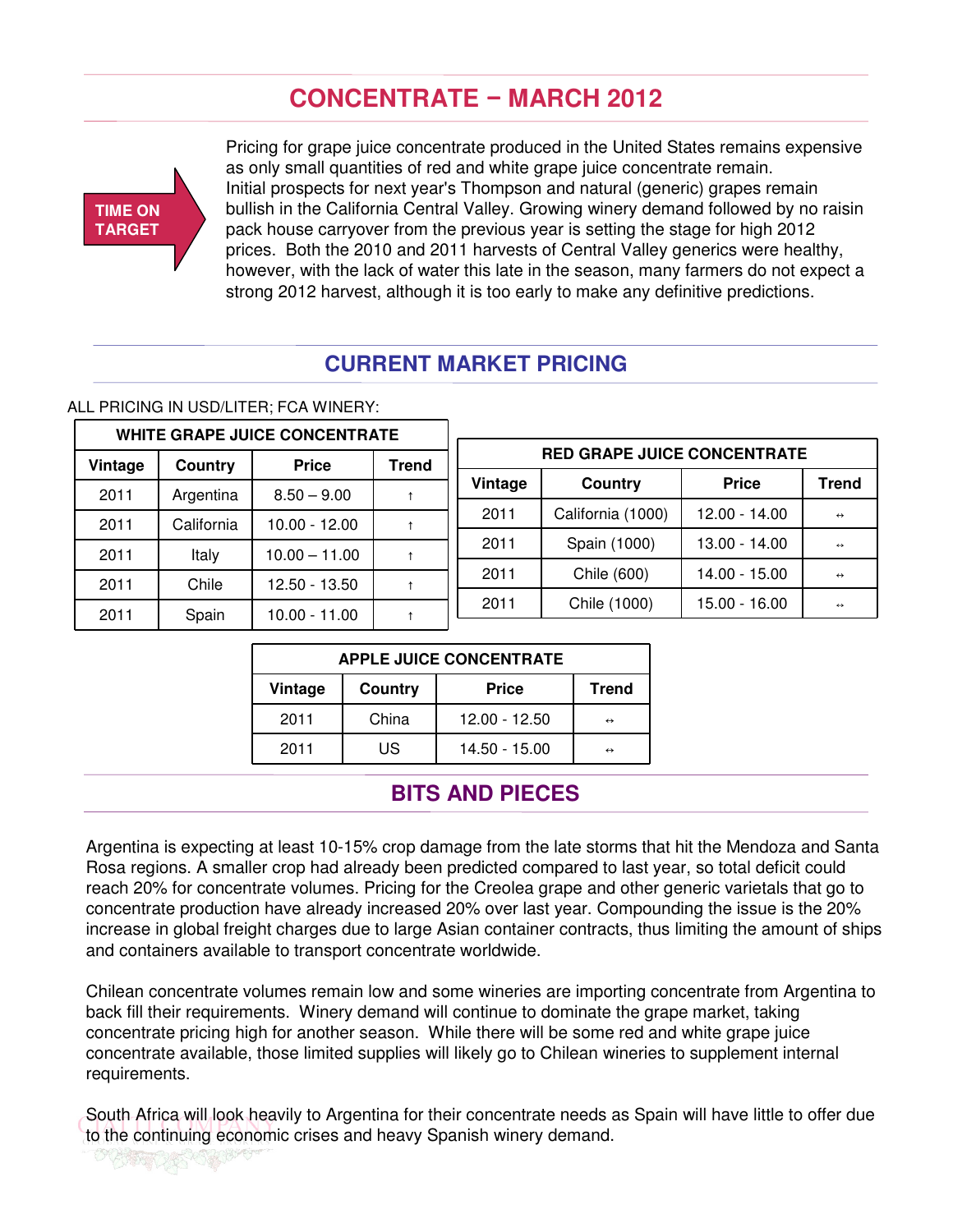# **CONCENTRATE** − **MARCH 2012**



OUSSER OF STREET

Pricing for grape juice concentrate produced in the United States remains expensive as only small quantities of red and white grape juice concentrate remain. Initial prospects for next year's Thompson and natural (generic) grapes remain bullish in the California Central Valley. Growing winery demand followed by no raisin pack house carryover from the previous year is setting the stage for high 2012 prices. Both the 2010 and 2011 harvests of Central Valley generics were healthy, however, with the lack of water this late in the season, many farmers do not expect a strong 2012 harvest, although it is too early to make any definitive predictions.

### **CURRENT MARKET PRICING**

#### ALL PRICING IN USD/LITER; FCA WINERY:

|         | <b>WHITE GRAPE JUICE CONCENTRATE</b> |                 |                                    |         |                   |                 |                   |
|---------|--------------------------------------|-----------------|------------------------------------|---------|-------------------|-----------------|-------------------|
| Vintage | <b>Price</b><br>Trend<br>Country     |                 | <b>RED GRAPE JUICE CONCENTRATE</b> |         |                   |                 |                   |
| 2011    | Argentina                            | $8.50 - 9.00$   |                                    | Vintage | Country           | <b>Price</b>    | Trend             |
| 2011    | California                           | $10.00 - 12.00$ |                                    | 2011    | California (1000) | $12.00 - 14.00$ | $\leftrightarrow$ |
| 2011    | Italy                                | $10.00 - 11.00$ |                                    | 2011    | Spain (1000)      | $13.00 - 14.00$ | $\leftrightarrow$ |
| 2011    | Chile                                | $12.50 - 13.50$ |                                    | 2011    | Chile (600)       | $14.00 - 15.00$ | $\leftrightarrow$ |
|         |                                      |                 |                                    | 2011    | Chile (1000)      | $15.00 - 16.00$ | $\leftrightarrow$ |
| 2011    | Spain                                | $10.00 - 11.00$ |                                    |         |                   |                 |                   |

| <b>APPLE JUICE CONCENTRATE</b> |       |                 |                   |  |  |  |
|--------------------------------|-------|-----------------|-------------------|--|--|--|
| Country<br>Vintage             |       | <b>Price</b>    | <b>Trend</b>      |  |  |  |
| 2011                           | China | $12.00 - 12.50$ | $\leftrightarrow$ |  |  |  |
| 2011                           | US    | 14.50 - 15.00   | $\leftrightarrow$ |  |  |  |

### **BITS AND PIECES**

Argentina is expecting at least 10-15% crop damage from the late storms that hit the Mendoza and Santa Rosa regions. A smaller crop had already been predicted compared to last year, so total deficit could reach 20% for concentrate volumes. Pricing for the Creolea grape and other generic varietals that go to concentrate production have already increased 20% over last year. Compounding the issue is the 20% increase in global freight charges due to large Asian container contracts, thus limiting the amount of ships and containers available to transport concentrate worldwide.

Chilean concentrate volumes remain low and some wineries are importing concentrate from Argentina to back fill their requirements. Winery demand will continue to dominate the grape market, taking concentrate pricing high for another season. While there will be some red and white grape juice concentrate available, those limited supplies will likely go to Chilean wineries to supplement internal requirements.

South Africa will look heavily to Argentina for their concentrate needs as Spain will have little to offer due to the continuing economic crises and heavy Spanish winery demand.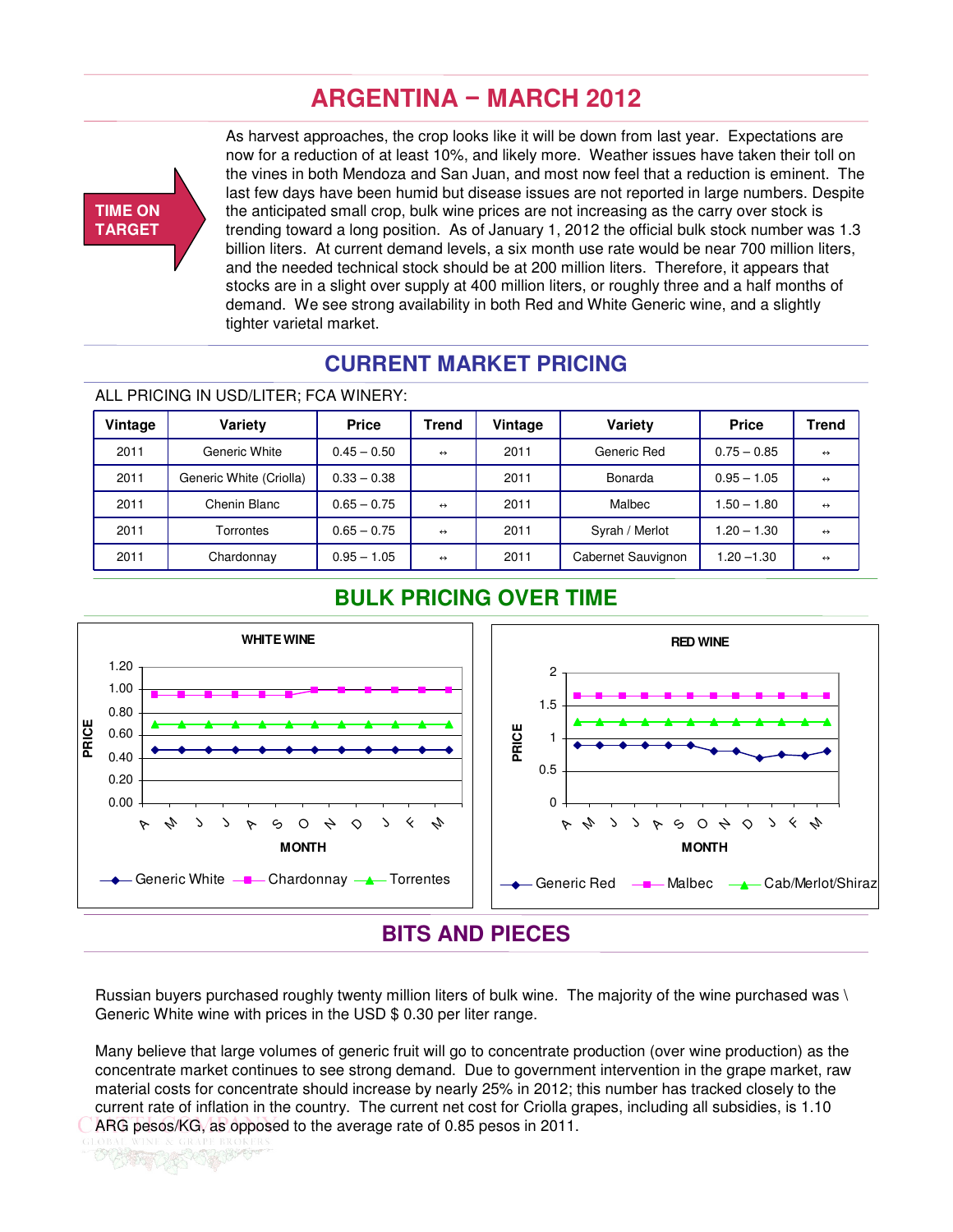# **ARGENTINA** − **MARCH 2012**



As harvest approaches, the crop looks like it will be down from last year. Expectations are now for a reduction of at least 10%, and likely more. Weather issues have taken their toll on the vines in both Mendoza and San Juan, and most now feel that a reduction is eminent. The last few days have been humid but disease issues are not reported in large numbers. Despite the anticipated small crop, bulk wine prices are not increasing as the carry over stock is trending toward a long position. As of January 1, 2012 the official bulk stock number was 1.3 billion liters. At current demand levels, a six month use rate would be near 700 million liters, and the needed technical stock should be at 200 million liters. Therefore, it appears that stocks are in a slight over supply at 400 million liters, or roughly three and a half months of demand. We see strong availability in both Red and White Generic wine, and a slightly tighter varietal market.

### **CURRENT MARKET PRICING**

#### ALL PRICING IN USD/LITER; FCA WINERY:

| Vintage | <b>Variety</b>          | <b>Price</b>  | <b>Trend</b>      | Vintage | Variety            | <b>Price</b>  | <b>Trend</b>      |
|---------|-------------------------|---------------|-------------------|---------|--------------------|---------------|-------------------|
| 2011    | Generic White           | $0.45 - 0.50$ | $\leftrightarrow$ | 2011    | Generic Red        | $0.75 - 0.85$ | $\leftrightarrow$ |
| 2011    | Generic White (Criolla) | $0.33 - 0.38$ |                   | 2011    | Bonarda            | $0.95 - 1.05$ | $\leftrightarrow$ |
| 2011    | Chenin Blanc            | $0.65 - 0.75$ | $\leftrightarrow$ | 2011    | Malbec             | $1.50 - 1.80$ | $\leftrightarrow$ |
| 2011    | Torrontes               | $0.65 - 0.75$ | $\leftrightarrow$ | 2011    | Syrah / Merlot     | $1.20 - 1.30$ | $\leftrightarrow$ |
| 2011    | Chardonnay              | $0.95 - 1.05$ | $\leftrightarrow$ | 2011    | Cabernet Sauvignon | 1.20 -1.30    | $\leftrightarrow$ |

### **BULK PRICING OVER TIME**



Russian buyers purchased roughly twenty million liters of bulk wine. The majority of the wine purchased was \ Generic White wine with prices in the USD \$ 0.30 per liter range.

Many believe that large volumes of generic fruit will go to concentrate production (over wine production) as the concentrate market continues to see strong demand. Due to government intervention in the grape market, raw material costs for concentrate should increase by nearly 25% in 2012; this number has tracked closely to the current rate of inflation in the country. The current net cost for Criolla grapes, including all subsidies, is 1.10 ARG pesos/KG, as opposed to the average rate of 0.85 pesos in 2011.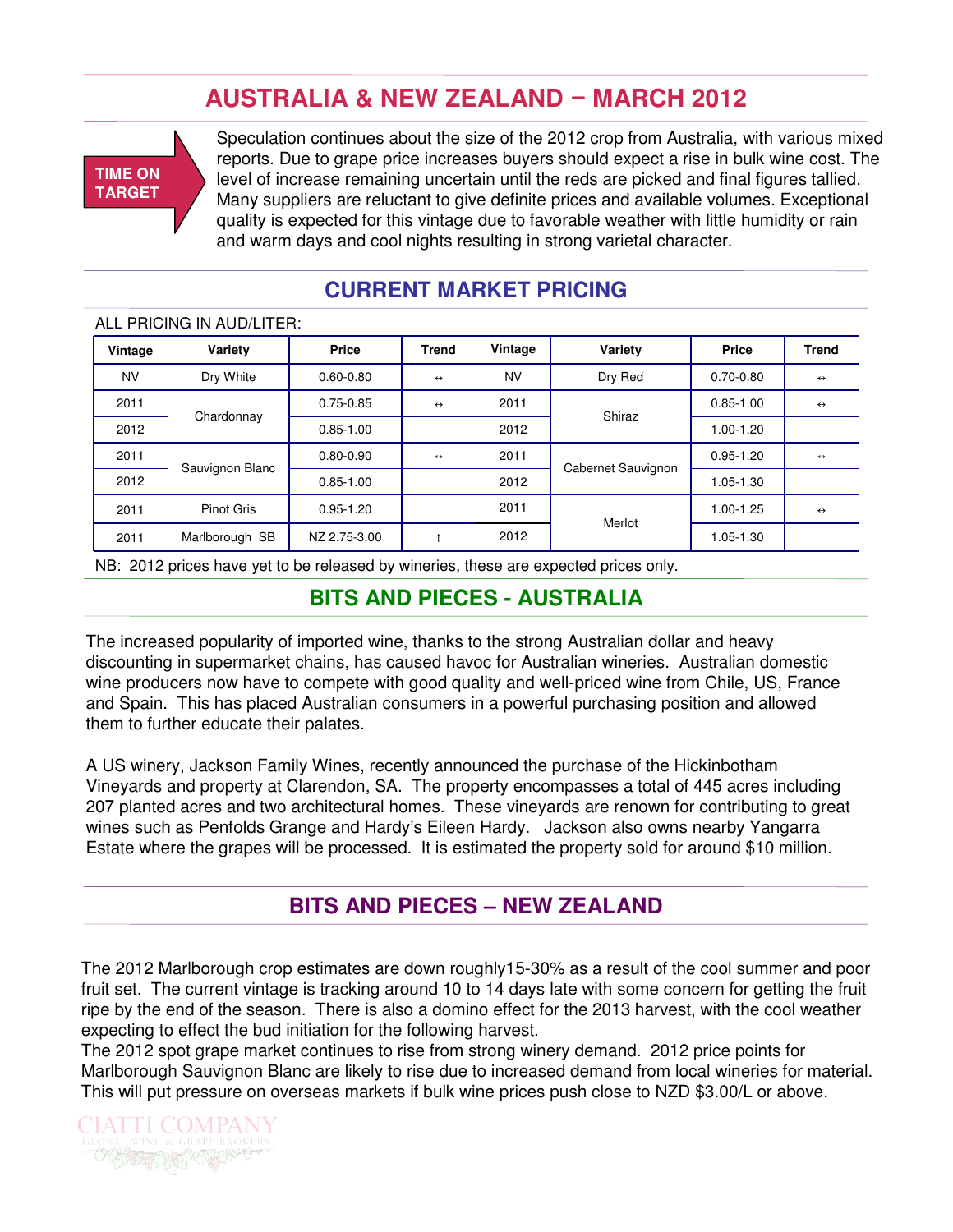# **AUSTRALIA & NEW ZEALAND** − **MARCH 2012**



Speculation continues about the size of the 2012 crop from Australia, with various mixed reports. Due to grape price increases buyers should expect a rise in bulk wine cost. The level of increase remaining uncertain until the reds are picked and final figures tallied. Many suppliers are reluctant to give definite prices and available volumes. Exceptional quality is expected for this vintage due to favorable weather with little humidity or rain and warm days and cool nights resulting in strong varietal character.

### **CURRENT MARKET PRICING**

#### ALL PRICING IN AUD/LITER:

| Vintage   | Variety           | <b>Price</b>  | <b>Trend</b>      | Vintage   | Variety            | <b>Price</b>  | <b>Trend</b>      |
|-----------|-------------------|---------------|-------------------|-----------|--------------------|---------------|-------------------|
| <b>NV</b> | Dry White         | $0.60 - 0.80$ | $\leftrightarrow$ | <b>NV</b> | Dry Red            | $0.70 - 0.80$ | $\leftrightarrow$ |
| 2011      |                   | $0.75 - 0.85$ | $\leftrightarrow$ | 2011      |                    | $0.85 - 1.00$ | $\leftrightarrow$ |
| 2012      | Chardonnay        | $0.85 - 1.00$ |                   | 2012      | Shiraz             | 1.00-1.20     |                   |
| 2011      |                   | $0.80 - 0.90$ | $\leftrightarrow$ | 2011      |                    | $0.95 - 1.20$ | $\leftrightarrow$ |
| 2012      | Sauvignon Blanc   | $0.85 - 1.00$ |                   | 2012      | Cabernet Sauvignon | 1.05-1.30     |                   |
| 2011      | <b>Pinot Gris</b> | $0.95 - 1.20$ |                   | 2011      | Merlot             | $1.00 - 1.25$ | $\leftrightarrow$ |
| 2011      | Marlborough SB    | NZ 2.75-3.00  |                   | 2012      |                    | $1.05 - 1.30$ |                   |

NB: 2012 prices have yet to be released by wineries, these are expected prices only.

### **BITS AND PIECES - AUSTRALIA**

The increased popularity of imported wine, thanks to the strong Australian dollar and heavy discounting in supermarket chains, has caused havoc for Australian wineries. Australian domestic wine producers now have to compete with good quality and well-priced wine from Chile, US, France and Spain. This has placed Australian consumers in a powerful purchasing position and allowed them to further educate their palates.

A US winery, Jackson Family Wines, recently announced the purchase of the Hickinbotham Vineyards and property at Clarendon, SA. The property encompasses a total of 445 acres including 207 planted acres and two architectural homes. These vineyards are renown for contributing to great wines such as Penfolds Grange and Hardy's Eileen Hardy. Jackson also owns nearby Yangarra Estate where the grapes will be processed. It is estimated the property sold for around \$10 million.

### **BITS AND PIECES – NEW ZEALAND**

The 2012 Marlborough crop estimates are down roughly15-30% as a result of the cool summer and poor fruit set. The current vintage is tracking around 10 to 14 days late with some concern for getting the fruit ripe by the end of the season. There is also a domino effect for the 2013 harvest, with the cool weather expecting to effect the bud initiation for the following harvest.

The 2012 spot grape market continues to rise from strong winery demand. 2012 price points for Marlborough Sauvignon Blanc are likely to rise due to increased demand from local wineries for material. This will put pressure on overseas markets if bulk wine prices push close to NZD \$3.00/L or above.

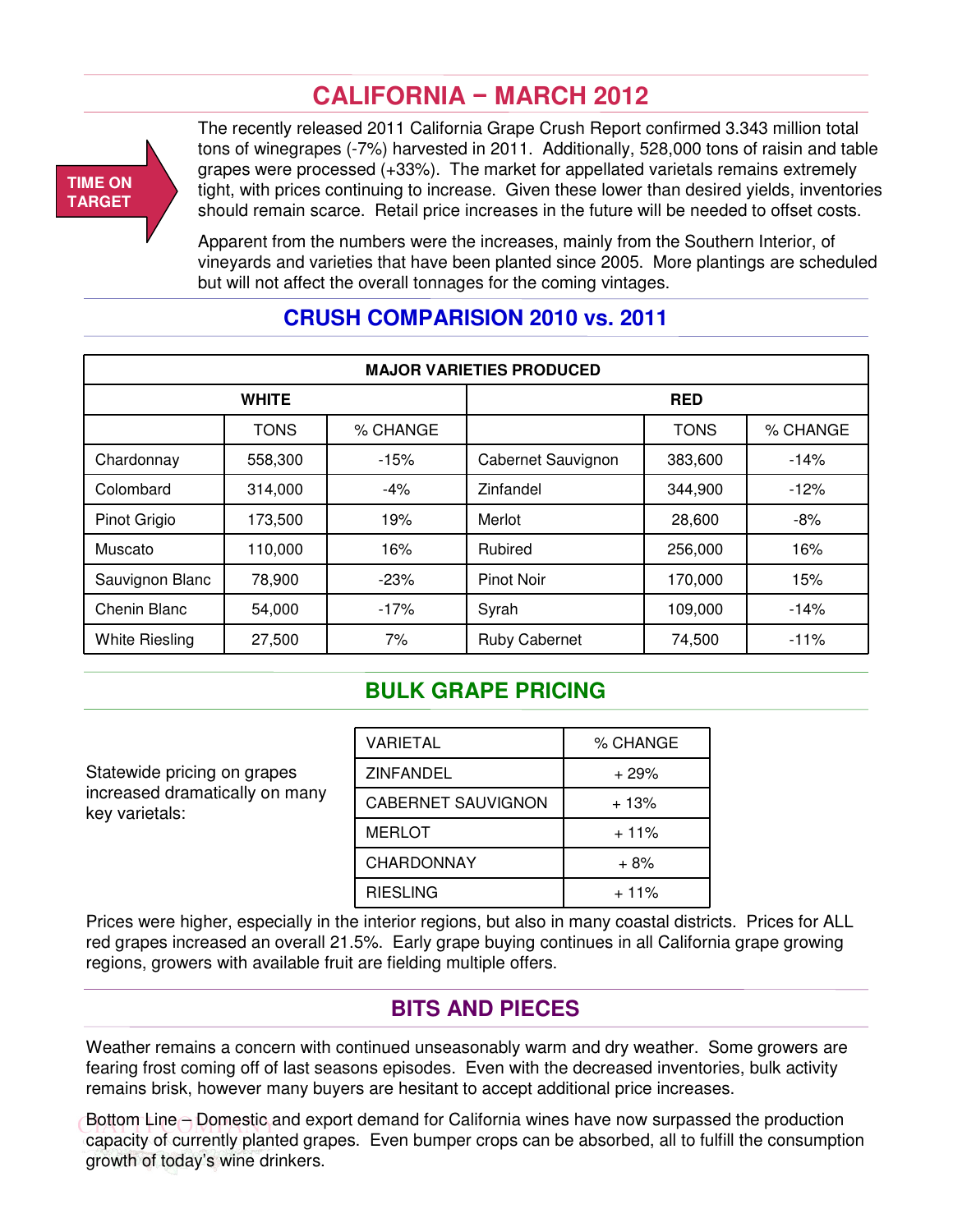# **CALIFORNIA** − **MARCH 2012**

### **TIME ON TARGET**

The recently released 2011 California Grape Crush Report confirmed 3.343 million total tons of winegrapes (-7%) harvested in 2011. Additionally, 528,000 tons of raisin and table grapes were processed (+33%). The market for appellated varietals remains extremely tight, with prices continuing to increase. Given these lower than desired yields, inventories should remain scarce. Retail price increases in the future will be needed to offset costs.

Apparent from the numbers were the increases, mainly from the Southern Interior, of vineyards and varieties that have been planted since 2005. More plantings are scheduled but will not affect the overall tonnages for the coming vintages.

| <b>MAJOR VARIETIES PRODUCED</b> |              |          |                      |             |          |  |  |  |
|---------------------------------|--------------|----------|----------------------|-------------|----------|--|--|--|
|                                 | <b>WHITE</b> |          |                      | <b>RED</b>  |          |  |  |  |
|                                 | <b>TONS</b>  | % CHANGE |                      | <b>TONS</b> | % CHANGE |  |  |  |
| Chardonnay                      | 558,300      | $-15%$   | Cabernet Sauvignon   | 383,600     | $-14%$   |  |  |  |
| Colombard                       | 314,000      | $-4%$    | Zinfandel            | 344,900     | $-12%$   |  |  |  |
| Pinot Grigio                    | 173,500      | 19%      | Merlot               | 28,600      | -8%      |  |  |  |
| Muscato                         | 110,000      | 16%      | Rubired              | 256,000     | 16%      |  |  |  |
| Sauvignon Blanc                 | 78,900       | $-23%$   | <b>Pinot Noir</b>    | 170,000     | 15%      |  |  |  |
| Chenin Blanc                    | 54,000       | $-17%$   | Syrah                | 109,000     | $-14%$   |  |  |  |
| <b>White Riesling</b>           | 27,500       | 7%       | <b>Ruby Cabernet</b> | 74,500      | $-11%$   |  |  |  |

### **CRUSH COMPARISION 2010 vs. 2011**

### **BULK GRAPE PRICING**

Statewide pricing on grapes increased dramatically on many key varietals:

| VARIETAL                  | % CHANGE |
|---------------------------|----------|
| ZINFANDEL                 | $+29%$   |
| <b>CABERNET SAUVIGNON</b> | $+13%$   |
| <b>MERLOT</b>             | $+11%$   |
| <b>CHARDONNAY</b>         | $+8%$    |
| <b>RIESLING</b>           | $+11%$   |

Prices were higher, especially in the interior regions, but also in many coastal districts. Prices for ALL red grapes increased an overall 21.5%. Early grape buying continues in all California grape growing regions, growers with available fruit are fielding multiple offers.

### **BITS AND PIECES**

Weather remains a concern with continued unseasonably warm and dry weather. Some growers are fearing frost coming off of last seasons episodes. Even with the decreased inventories, bulk activity remains brisk, however many buyers are hesitant to accept additional price increases.

Bottom Line – Domestic and export demand for California wines have now surpassed the production capacity of currently planted grapes. Even bumper crops can be absorbed, all to fulfill the consumption growth of today's wine drinkers.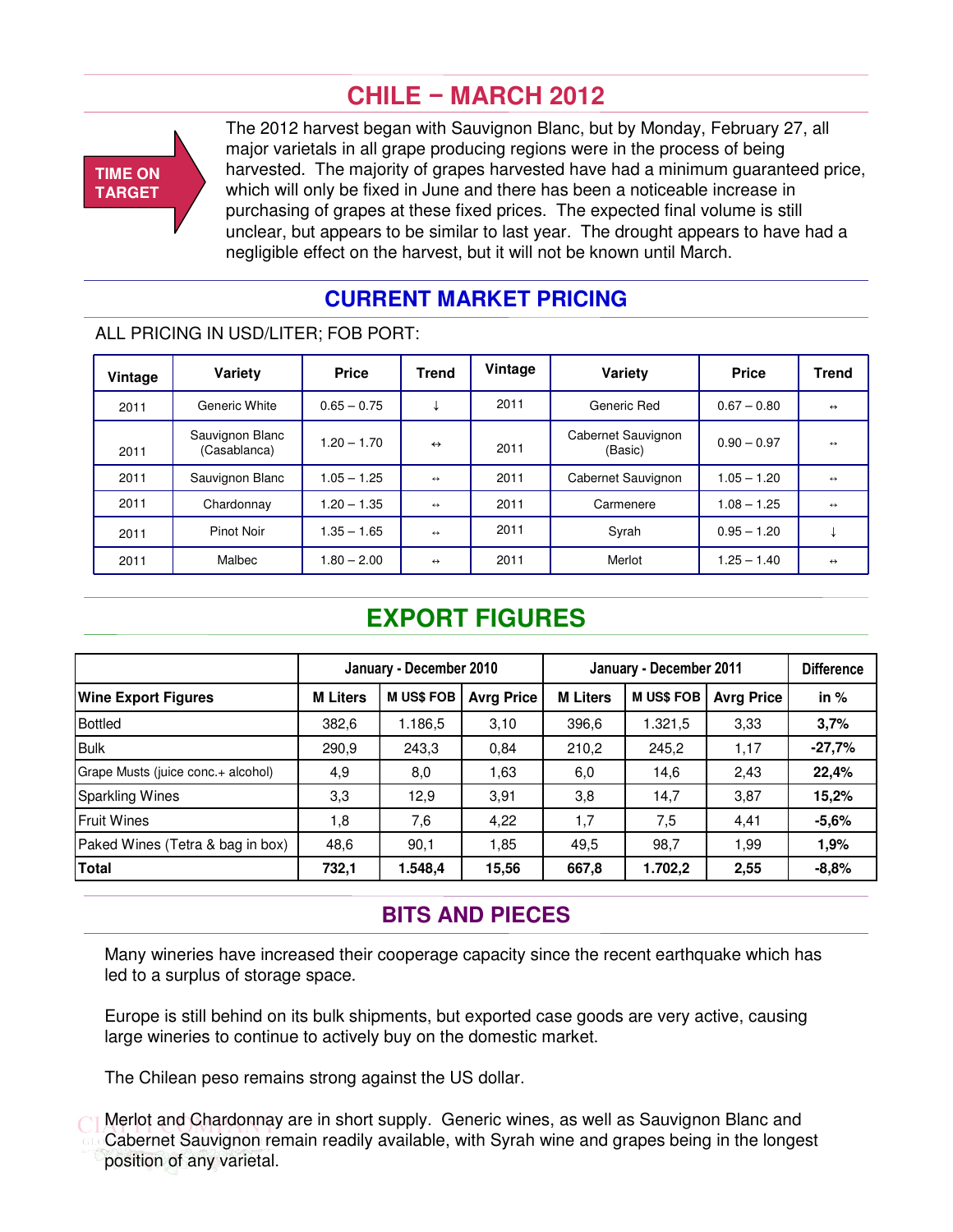# **CHILE** − **MARCH 2012**



The 2012 harvest began with Sauvignon Blanc, but by Monday, February 27, all major varietals in all grape producing regions were in the process of being harvested. The majority of grapes harvested have had a minimum guaranteed price, which will only be fixed in June and there has been a noticeable increase in purchasing of grapes at these fixed prices. The expected final volume is still unclear, but appears to be similar to last year. The drought appears to have had a negligible effect on the harvest, but it will not be known until March.

### **CURRENT MARKET PRICING**

### ALL PRICING IN USD/LITER; FOB PORT:

| Vintage | Variety                         | <b>Price</b>  | <b>Trend</b>      | Vintage | Variety                       | <b>Price</b>  | <b>Trend</b>      |
|---------|---------------------------------|---------------|-------------------|---------|-------------------------------|---------------|-------------------|
| 2011    | Generic White                   | $0.65 - 0.75$ |                   | 2011    | Generic Red                   | $0.67 - 0.80$ | $\leftrightarrow$ |
| 2011    | Sauvignon Blanc<br>(Casablanca) | $1.20 - 1.70$ | $\leftrightarrow$ | 2011    | Cabernet Sauvignon<br>(Basic) | $0.90 - 0.97$ | $\leftrightarrow$ |
| 2011    | Sauvignon Blanc                 | $1.05 - 1.25$ | $\leftrightarrow$ | 2011    | Cabernet Sauvignon            | $1.05 - 1.20$ | $\leftrightarrow$ |
| 2011    | Chardonnay                      | $1.20 - 1.35$ | $\leftrightarrow$ | 2011    | Carmenere                     | $1.08 - 1.25$ | $\leftrightarrow$ |
| 2011    | Pinot Noir                      | $1.35 - 1.65$ | $\leftrightarrow$ | 2011    | Syrah                         | $0.95 - 1.20$ |                   |
| 2011    | Malbec                          | $1.80 - 2.00$ | $\leftrightarrow$ | 2011    | Merlot                        | $1.25 - 1.40$ | $\leftrightarrow$ |

# **EXPORT FIGURES**

|                                    | January - December 2010 |                 |                   | January - December 2011 |                 |                   | <b>Difference</b> |
|------------------------------------|-------------------------|-----------------|-------------------|-------------------------|-----------------|-------------------|-------------------|
| <b>Wine Export Figures</b>         | <b>M Liters</b>         | <b>MUS\$FOB</b> | <b>Avrg Price</b> | <b>M Liters</b>         | <b>MUS\$FOB</b> | <b>Avrg Price</b> | in $%$            |
| Bottled                            | 382,6                   | 1.186,5         | 3,10              | 396,6                   | 1.321,5         | 3,33              | 3,7%              |
| Bulk                               | 290,9                   | 243,3           | 0.84              | 210,2                   | 245,2           | 1,17              | $-27,7%$          |
| Grape Musts (juice conc.+ alcohol) | 4,9                     | 8,0             | 1,63              | 6,0                     | 14,6            | 2,43              | 22,4%             |
| Sparkling Wines                    | 3,3                     | 12.9            | 3,91              | 3,8                     | 14,7            | 3,87              | 15,2%             |
| Fruit Wines                        | 1,8                     | 7,6             | 4,22              | 1,7                     | 7,5             | 4.41              | $-5,6%$           |
| Paked Wines (Tetra & bag in box)   | 48,6                    | 90,1            | 1,85              | 49,5                    | 98,7            | 1,99              | 1,9%              |
| Total                              | 732,1                   | 1.548,4         | 15,56             | 667,8                   | 1.702,2         | 2,55              | $-8,8%$           |

### **BITS AND PIECES**

Many wineries have increased their cooperage capacity since the recent earthquake which has led to a surplus of storage space.

Europe is still behind on its bulk shipments, but exported case goods are very active, causing large wineries to continue to actively buy on the domestic market.

The Chilean peso remains strong against the US dollar.

Merlot and Chardonnay are in short supply. Generic wines, as well as Sauvignon Blanc and Cabernet Sauvignon remain readily available, with Syrah wine and grapes being in the longest position of any varietal.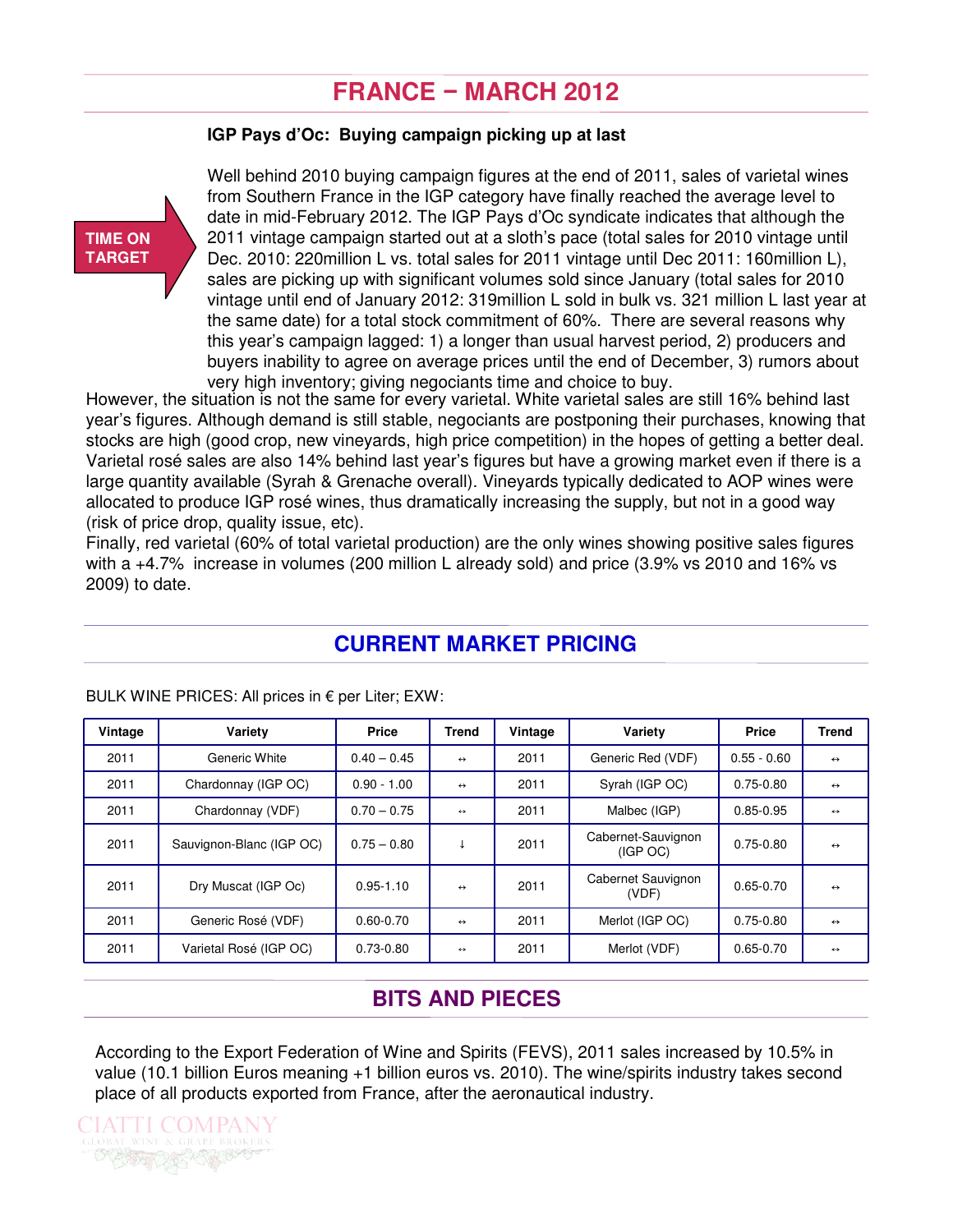# **FRANCE** − **MARCH 2012**

#### **IGP Pays d'Oc: Buying campaign picking up at last**



Well behind 2010 buying campaign figures at the end of 2011, sales of varietal wines from Southern France in the IGP category have finally reached the average level to date in mid-February 2012. The IGP Pays d'Oc syndicate indicates that although the 2011 vintage campaign started out at a sloth's pace (total sales for 2010 vintage until Dec. 2010: 220million L vs. total sales for 2011 vintage until Dec 2011: 160million L), sales are picking up with significant volumes sold since January (total sales for 2010 vintage until end of January 2012: 319million L sold in bulk vs. 321 million L last year at the same date) for a total stock commitment of 60%. There are several reasons why this year's campaign lagged: 1) a longer than usual harvest period, 2) producers and buyers inability to agree on average prices until the end of December, 3) rumors about very high inventory; giving negociants time and choice to buy.

However, the situation is not the same for every varietal. White varietal sales are still 16% behind last year's figures. Although demand is still stable, negociants are postponing their purchases, knowing that stocks are high (good crop, new vineyards, high price competition) in the hopes of getting a better deal. Varietal rosé sales are also 14% behind last year's figures but have a growing market even if there is a large quantity available (Syrah & Grenache overall). Vineyards typically dedicated to AOP wines were allocated to produce IGP rosé wines, thus dramatically increasing the supply, but not in a good way (risk of price drop, quality issue, etc).

Finally, red varietal (60% of total varietal production) are the only wines showing positive sales figures with a +4.7% increase in volumes (200 million L already sold) and price (3.9% vs 2010 and 16% vs 2009) to date.

### **CURRENT MARKET PRICING**

| Vintage | Variety                  | Price         | <b>Trend</b>      | Vintage | Variety                        | Price         | <b>Trend</b>      |
|---------|--------------------------|---------------|-------------------|---------|--------------------------------|---------------|-------------------|
| 2011    | Generic White            | $0.40 - 0.45$ | $\leftrightarrow$ | 2011    | Generic Red (VDF)              | $0.55 - 0.60$ | $\leftrightarrow$ |
| 2011    | Chardonnay (IGP OC)      | $0.90 - 1.00$ | $\leftrightarrow$ | 2011    | Syrah (IGP OC)                 | $0.75 - 0.80$ | $\leftrightarrow$ |
| 2011    | Chardonnay (VDF)         | $0.70 - 0.75$ | $\leftrightarrow$ | 2011    | Malbec (IGP)                   | $0.85 - 0.95$ | $\leftrightarrow$ |
| 2011    | Sauvignon-Blanc (IGP OC) | $0.75 - 0.80$ | ₩                 | 2011    | Cabernet-Sauvignon<br>(IGP OC) | $0.75 - 0.80$ | $\leftrightarrow$ |
| 2011    | Dry Muscat (IGP Oc)      | $0.95 - 1.10$ | $\leftrightarrow$ | 2011    | Cabernet Sauvignon<br>(VDF)    | $0.65 - 0.70$ | $\leftrightarrow$ |
| 2011    | Generic Rosé (VDF)       | $0.60 - 0.70$ | $\leftrightarrow$ | 2011    | Merlot (IGP OC)                | $0.75 - 0.80$ | $\leftrightarrow$ |
| 2011    | Varietal Rosé (IGP OC)   | $0.73 - 0.80$ | $\leftrightarrow$ | 2011    | Merlot (VDF)                   | $0.65 - 0.70$ | $\leftrightarrow$ |

BULK WINE PRICES: All prices in  $\epsilon$  per Liter; EXW:

### **BITS AND PIECES**

According to the Export Federation of Wine and Spirits (FEVS), 2011 sales increased by 10.5% in value (10.1 billion Euros meaning +1 billion euros vs. 2010). The wine/spirits industry takes second place of all products exported from France, after the aeronautical industry.

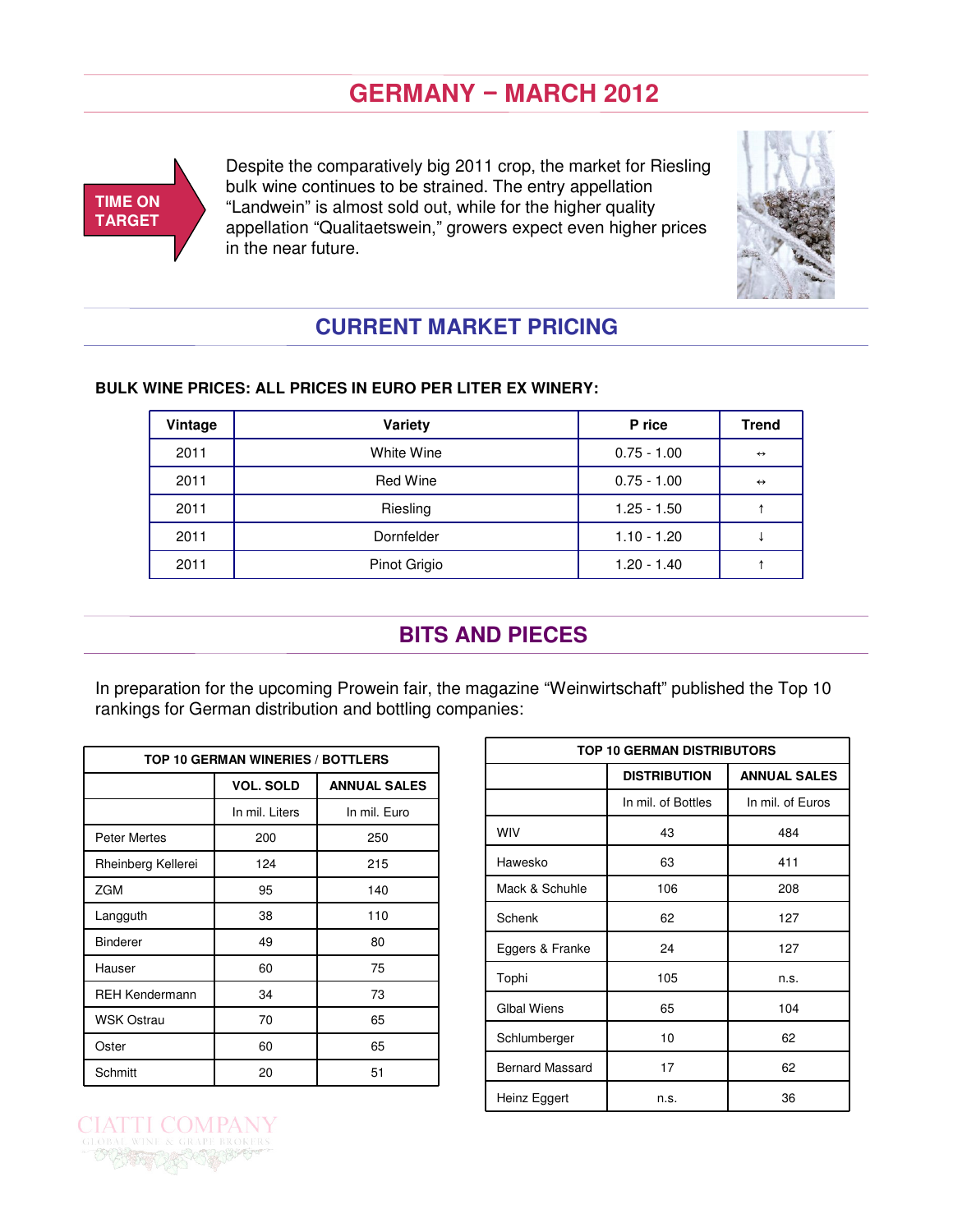# **GERMANY** − **MARCH 2012**



Despite the comparatively big 2011 crop, the market for Riesling bulk wine continues to be strained. The entry appellation "Landwein" is almost sold out, while for the higher quality appellation "Qualitaetswein," growers expect even higher prices in the near future.



## **CURRENT MARKET PRICING**

| Vintage | Variety         | P rice        | <b>Trend</b>      |
|---------|-----------------|---------------|-------------------|
| 2011    | White Wine      | $0.75 - 1.00$ | $\leftrightarrow$ |
| 2011    | <b>Red Wine</b> | $0.75 - 1.00$ | $\leftrightarrow$ |
| 2011    | Riesling        | $1.25 - 1.50$ |                   |
| 2011    | Dornfelder      | $1.10 - 1.20$ |                   |
| 2011    | Pinot Grigio    | $1.20 - 1.40$ |                   |

### **BULK WINE PRICES: ALL PRICES IN EURO PER LITER EX WINERY:**

### **BITS AND PIECES**

In preparation for the upcoming Prowein fair, the magazine "Weinwirtschaft" published the Top 10 rankings for German distribution and bottling companies:

| TOP 10 GERMAN WINERIES / BOTTLERS |                  |                     |  |  |  |  |  |  |
|-----------------------------------|------------------|---------------------|--|--|--|--|--|--|
|                                   | <b>VOL. SOLD</b> | <b>ANNUAL SALES</b> |  |  |  |  |  |  |
|                                   | In mil. Liters   | In mil. Euro        |  |  |  |  |  |  |
| <b>Peter Mertes</b>               | 200              | 250                 |  |  |  |  |  |  |
| Rheinberg Kellerei                | 124              | 215                 |  |  |  |  |  |  |
| <b>ZGM</b>                        | 95               | 140                 |  |  |  |  |  |  |
| Langguth                          | 38               | 110                 |  |  |  |  |  |  |
| <b>Binderer</b>                   | 49               | 80                  |  |  |  |  |  |  |
| Hauser                            | 60               | 75                  |  |  |  |  |  |  |
| <b>REH Kendermann</b>             | 34               | 73                  |  |  |  |  |  |  |
| <b>WSK Ostrau</b>                 | 70               | 65                  |  |  |  |  |  |  |
| Oster                             | 60               | 65                  |  |  |  |  |  |  |
| Schmitt                           | 20               | 51                  |  |  |  |  |  |  |

T COM

| <b>TOP 10 GERMAN DISTRIBUTORS</b> |                     |                     |  |  |  |  |  |
|-----------------------------------|---------------------|---------------------|--|--|--|--|--|
|                                   | <b>DISTRIBUTION</b> | <b>ANNUAL SALES</b> |  |  |  |  |  |
|                                   | In mil. of Bottles  | In mil. of Euros    |  |  |  |  |  |
| <b>WIV</b>                        | 43                  | 484                 |  |  |  |  |  |
| Hawesko                           | 63                  | 411                 |  |  |  |  |  |
| Mack & Schuhle                    | 106                 | 208                 |  |  |  |  |  |
| Schenk                            | 62                  | 127                 |  |  |  |  |  |
| Eggers & Franke                   | 24                  | 127                 |  |  |  |  |  |
| Tophi                             | 105                 | n.s.                |  |  |  |  |  |
| <b>Glbal Wiens</b>                | 65                  | 104                 |  |  |  |  |  |
| Schlumberger                      | 10                  | 62                  |  |  |  |  |  |
| <b>Bernard Massard</b>            | 17                  | 62                  |  |  |  |  |  |
| Heinz Eggert                      | n.s.                | 36                  |  |  |  |  |  |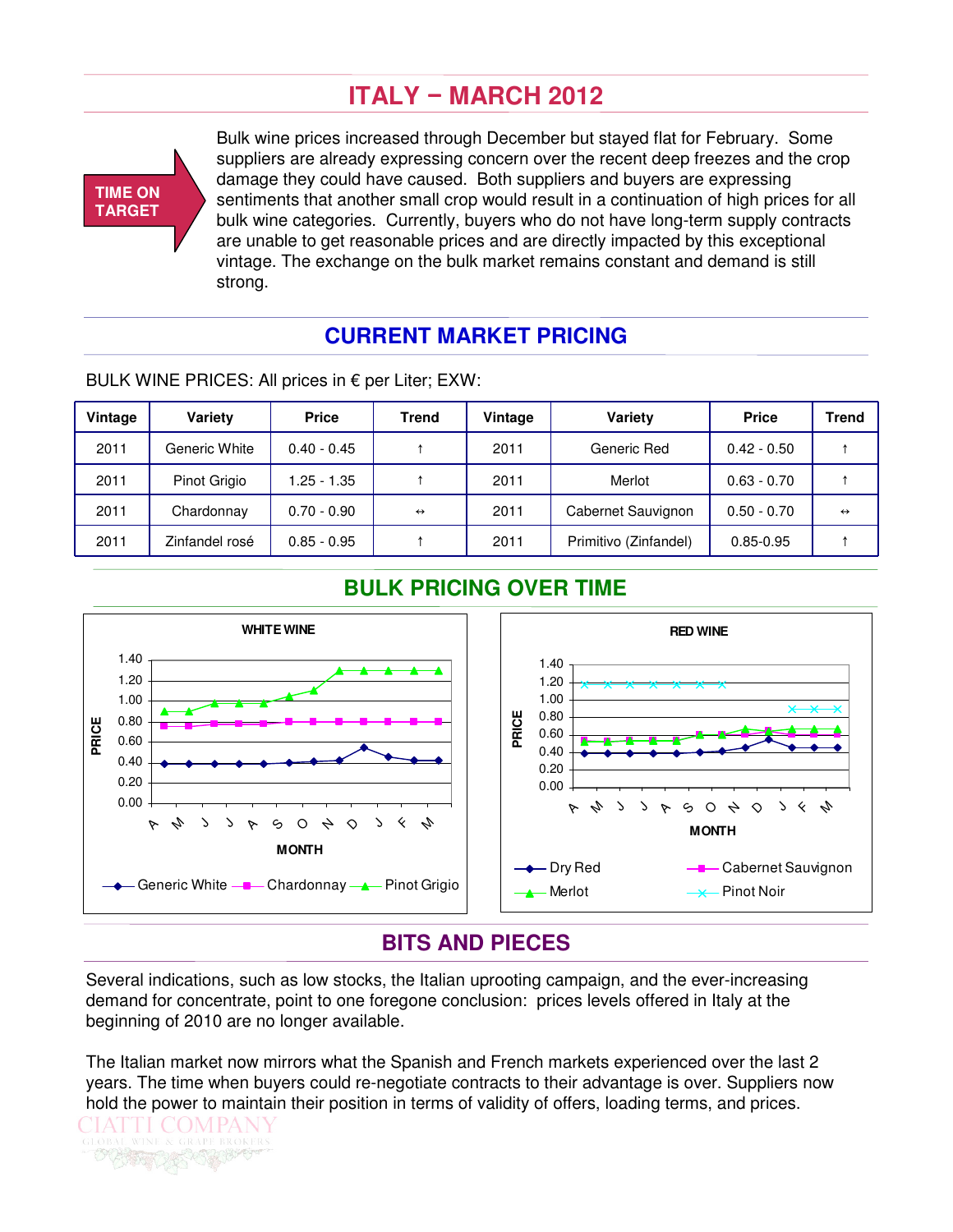# **ITALY** − **MARCH 2012**



Bulk wine prices increased through December but stayed flat for February. Some suppliers are already expressing concern over the recent deep freezes and the crop damage they could have caused. Both suppliers and buyers are expressing sentiments that another small crop would result in a continuation of high prices for all bulk wine categories. Currently, buyers who do not have long-term supply contracts are unable to get reasonable prices and are directly impacted by this exceptional vintage. The exchange on the bulk market remains constant and demand is still strong.

### **CURRENT MARKET PRICING**

| Vintage | <b>Variety</b> | <b>Price</b>  | Trend             | Vintage | <b>Variety</b>        | <b>Price</b>  | <b>Trend</b>      |
|---------|----------------|---------------|-------------------|---------|-----------------------|---------------|-------------------|
| 2011    | Generic White  | $0.40 - 0.45$ |                   | 2011    | Generic Red           | $0.42 - 0.50$ |                   |
| 2011    | Pinot Grigio   | $.25 - 1.35$  |                   | 2011    | Merlot                | $0.63 - 0.70$ |                   |
| 2011    | Chardonnay     | $0.70 - 0.90$ | $\leftrightarrow$ | 2011    | Cabernet Sauvignon    | $0.50 - 0.70$ | $\leftrightarrow$ |
| 2011    | Zinfandel rosé | $0.85 - 0.95$ |                   | 2011    | Primitivo (Zinfandel) | $0.85 - 0.95$ |                   |

BULK WINE PRICES: All prices in € per Liter; EXW:

### **BULK PRICING OVER TIME**



### **BITS AND PIECES**

Several indications, such as low stocks, the Italian uprooting campaign, and the ever-increasing demand for concentrate, point to one foregone conclusion: prices levels offered in Italy at the beginning of 2010 are no longer available.

The Italian market now mirrors what the Spanish and French markets experienced over the last 2 years. The time when buyers could re-negotiate contracts to their advantage is over. Suppliers now hold the power to maintain their position in terms of validity of offers, loading terms, and prices.

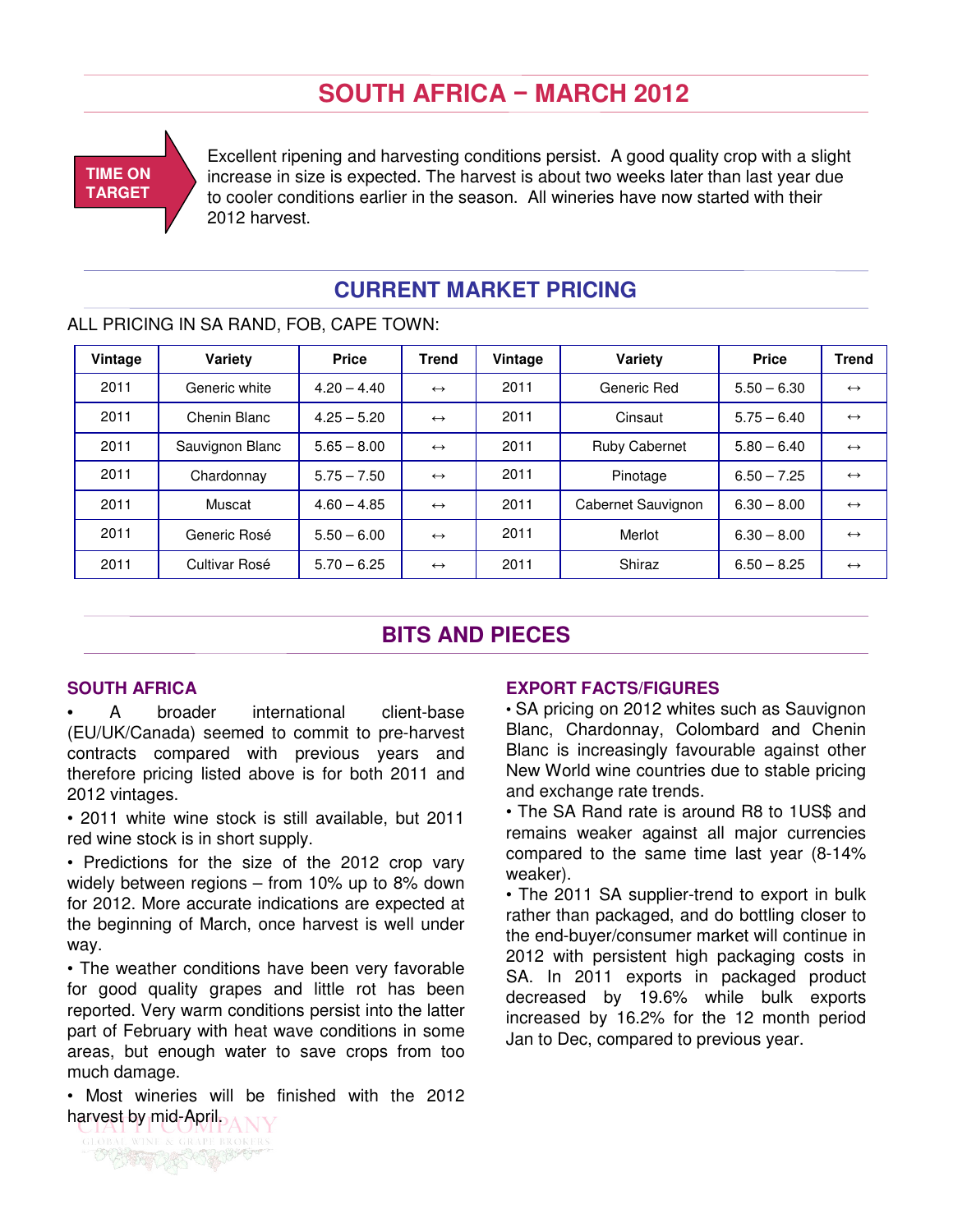# **SOUTH AFRICA** − **MARCH 2012**



Excellent ripening and harvesting conditions persist. A good quality crop with a slight increase in size is expected. The harvest is about two weeks later than last year due to cooler conditions earlier in the season. All wineries have now started with their 2012 harvest.

### **CURRENT MARKET PRICING**

### ALL PRICING IN SA RAND, FOB, CAPE TOWN:

| Vintage | Variety         | <b>Price</b>  | <b>Trend</b>      | Vintage | Variety              | <b>Price</b>  | <b>Trend</b>      |
|---------|-----------------|---------------|-------------------|---------|----------------------|---------------|-------------------|
| 2011    | Generic white   | $4.20 - 4.40$ | $\leftrightarrow$ | 2011    | Generic Red          | $5.50 - 6.30$ | $\leftrightarrow$ |
| 2011    | Chenin Blanc    | $4.25 - 5.20$ | $\leftrightarrow$ | 2011    | Cinsaut              | $5.75 - 6.40$ | $\leftrightarrow$ |
| 2011    | Sauvignon Blanc | $5.65 - 8.00$ | $\leftrightarrow$ | 2011    | <b>Ruby Cabernet</b> | $5.80 - 6.40$ | $\leftrightarrow$ |
| 2011    | Chardonnay      | $5.75 - 7.50$ | $\leftrightarrow$ | 2011    | Pinotage             | $6.50 - 7.25$ | $\leftrightarrow$ |
| 2011    | Muscat          | $4.60 - 4.85$ | $\leftrightarrow$ | 2011    | Cabernet Sauvignon   | $6.30 - 8.00$ | $\leftrightarrow$ |
| 2011    | Generic Rosé    | $5.50 - 6.00$ | $\leftrightarrow$ | 2011    | Merlot               | $6.30 - 8.00$ | $\leftrightarrow$ |
| 2011    | Cultivar Rosé   | $5.70 - 6.25$ | $\leftrightarrow$ | 2011    | Shiraz               | $6.50 - 8.25$ | $\leftrightarrow$ |

### **BITS AND PIECES**

#### **SOUTH AFRICA**

A broader international client-base (EU/UK/Canada) seemed to commit to pre-harvest contracts compared with previous years and therefore pricing listed above is for both 2011 and 2012 vintages.

• 2011 white wine stock is still available, but 2011 red wine stock is in short supply.

• Predictions for the size of the 2012 crop vary widely between regions – from 10% up to 8% down for 2012. More accurate indications are expected at the beginning of March, once harvest is well under way.

• The weather conditions have been very favorable for good quality grapes and little rot has been reported. Very warm conditions persist into the latter part of February with heat wave conditions in some areas, but enough water to save crops from too much damage.

• Most wineries will be finished with the 2012 harvest by mid-April.

#### **EXPORT FACTS/FIGURES**

• SA pricing on 2012 whites such as Sauvignon Blanc, Chardonnay, Colombard and Chenin Blanc is increasingly favourable against other New World wine countries due to stable pricing and exchange rate trends.

• The SA Rand rate is around R8 to 1US\$ and remains weaker against all major currencies compared to the same time last year (8-14% weaker).

• The 2011 SA supplier-trend to export in bulk rather than packaged, and do bottling closer to the end-buyer/consumer market will continue in 2012 with persistent high packaging costs in SA. In 2011 exports in packaged product decreased by 19.6% while bulk exports increased by 16.2% for the 12 month period Jan to Dec, compared to previous year.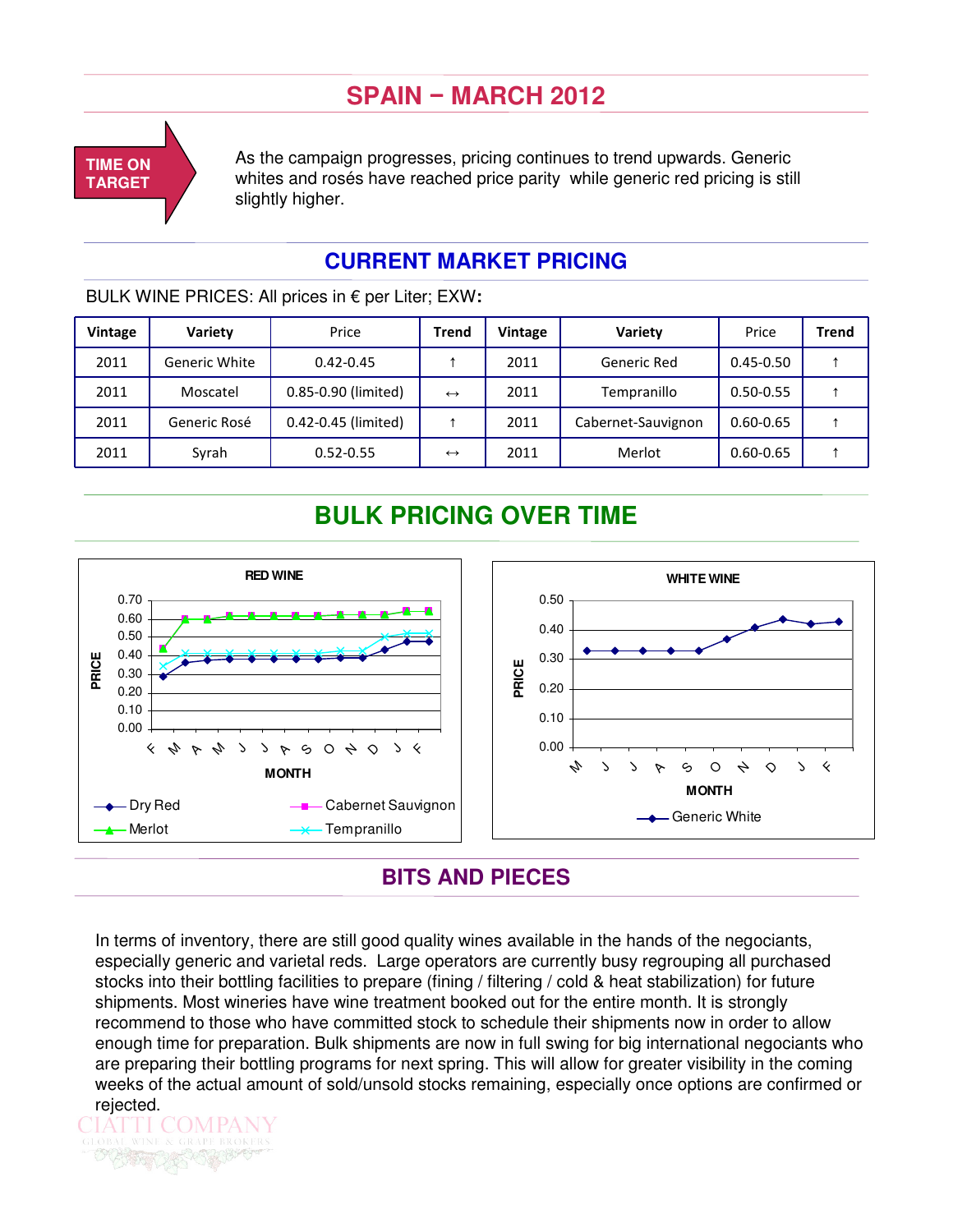# **SPAIN** − **MARCH 2012**



As the campaign progresses, pricing continues to trend upwards. Generic whites and rosés have reached price parity while generic red pricing is still slightly higher.

### **CURRENT MARKET PRICING**

BULK WINE PRICES: All prices in € per Liter; EXW**:**

| <b>Vintage</b> | Variety       | Price               | Trend             | Vintage | Variety            | Price         | <b>Trend</b> |
|----------------|---------------|---------------------|-------------------|---------|--------------------|---------------|--------------|
| 2011           | Generic White | $0.42 - 0.45$       |                   | 2011    | Generic Red        | $0.45 - 0.50$ |              |
| 2011           | Moscatel      | 0.85-0.90 (limited) | $\leftrightarrow$ | 2011    | Tempranillo        | $0.50 - 0.55$ |              |
| 2011           | Generic Rosé  | 0.42-0.45 (limited) |                   | 2011    | Cabernet-Sauvignon | $0.60 - 0.65$ |              |
| 2011           | Syrah         | $0.52 - 0.55$       | $\leftrightarrow$ | 2011    | Merlot             | $0.60 - 0.65$ |              |

# **BULK PRICING OVER TIME**



### **BITS AND PIECES**

In terms of inventory, there are still good quality wines available in the hands of the negociants, especially generic and varietal reds. Large operators are currently busy regrouping all purchased stocks into their bottling facilities to prepare (fining / filtering / cold & heat stabilization) for future shipments. Most wineries have wine treatment booked out for the entire month. It is strongly recommend to those who have committed stock to schedule their shipments now in order to allow enough time for preparation. Bulk shipments are now in full swing for big international negociants who are preparing their bottling programs for next spring. This will allow for greater visibility in the coming weeks of the actual amount of sold/unsold stocks remaining, especially once options are confirmed or rejected.

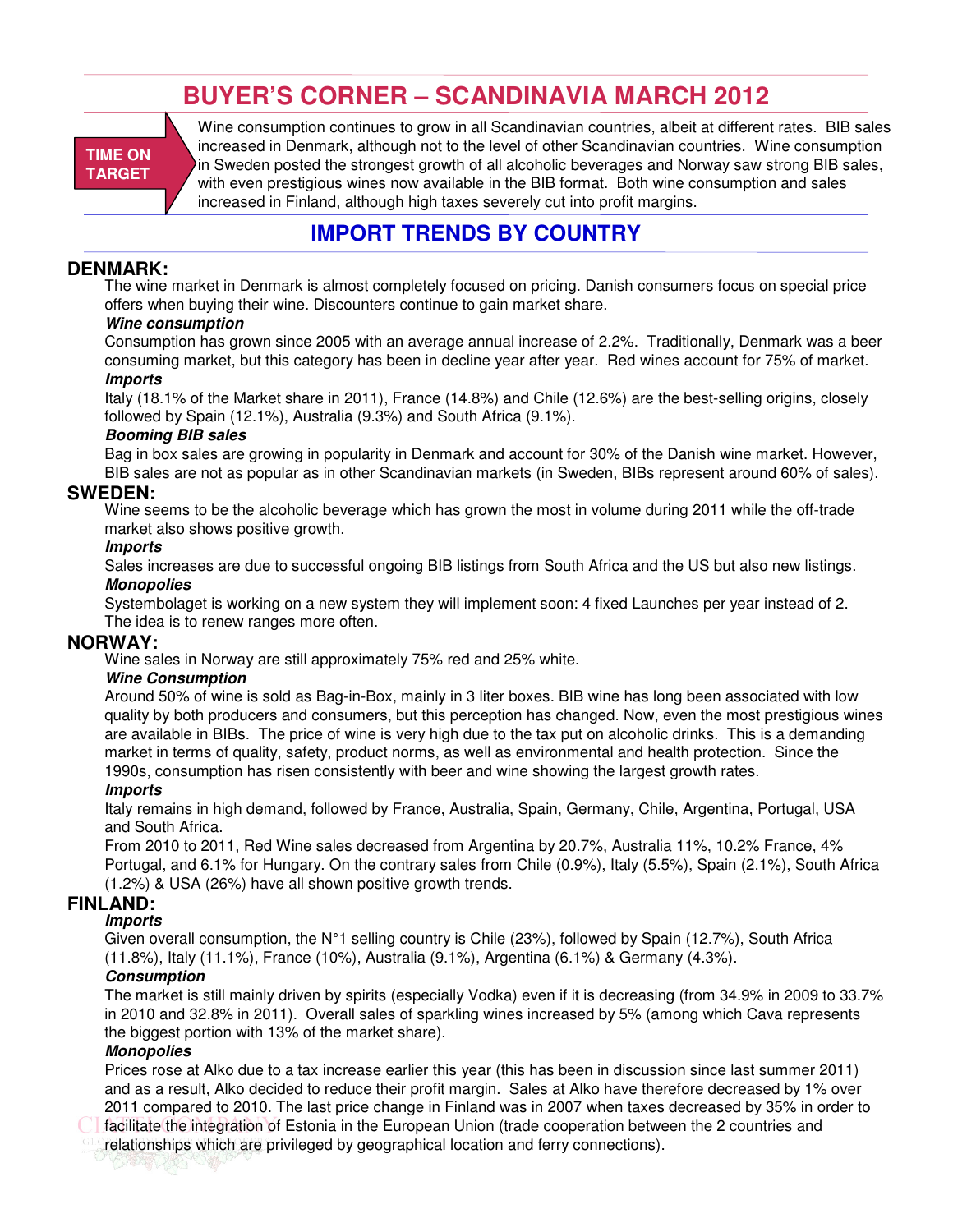# **BUYER'S CORNER – SCANDINAVIA MARCH 2012**

**TIME ON TARGET**

Wine consumption continues to grow in all Scandinavian countries, albeit at different rates. BIB sales increased in Denmark, although not to the level of other Scandinavian countries. Wine consumption in Sweden posted the strongest growth of all alcoholic beverages and Norway saw strong BIB sales, with even prestigious wines now available in the BIB format. Both wine consumption and sales increased in Finland, although high taxes severely cut into profit margins.

### **IMPORT TRENDS BY COUNTRY**

#### **DENMARK:**

The wine market in Denmark is almost completely focused on pricing. Danish consumers focus on special price offers when buying their wine. Discounters continue to gain market share.

#### **Wine consumption**

Consumption has grown since 2005 with an average annual increase of 2.2%. Traditionally, Denmark was a beer consuming market, but this category has been in decline year after year. Red wines account for 75% of market. **Imports**

Italy (18.1% of the Market share in 2011), France (14.8%) and Chile (12.6%) are the best-selling origins, closely followed by Spain (12.1%), Australia (9.3%) and South Africa (9.1%).

#### **Booming BIB sales**

Bag in box sales are growing in popularity in Denmark and account for 30% of the Danish wine market. However, BIB sales are not as popular as in other Scandinavian markets (in Sweden, BIBs represent around 60% of sales).

#### **SWEDEN:**

Wine seems to be the alcoholic beverage which has grown the most in volume during 2011 while the off-trade market also shows positive growth.

#### **Imports**

Sales increases are due to successful ongoing BIB listings from South Africa and the US but also new listings. **Monopolies**

Systembolaget is working on a new system they will implement soon: 4 fixed Launches per year instead of 2. The idea is to renew ranges more often.

#### **NORWAY:**

Wine sales in Norway are still approximately 75% red and 25% white.

#### **Wine Consumption**

Around 50% of wine is sold as Bag-in-Box, mainly in 3 liter boxes. BIB wine has long been associated with low quality by both producers and consumers, but this perception has changed. Now, even the most prestigious wines are available in BIBs. The price of wine is very high due to the tax put on alcoholic drinks. This is a demanding market in terms of quality, safety, product norms, as well as environmental and health protection. Since the 1990s, consumption has risen consistently with beer and wine showing the largest growth rates.

#### **Imports**

Italy remains in high demand, followed by France, Australia, Spain, Germany, Chile, Argentina, Portugal, USA and South Africa.

From 2010 to 2011, Red Wine sales decreased from Argentina by 20.7%, Australia 11%, 10.2% France, 4% Portugal, and 6.1% for Hungary. On the contrary sales from Chile (0.9%), Italy (5.5%), Spain (2.1%), South Africa (1.2%) & USA (26%) have all shown positive growth trends.

#### **FINLAND:**

#### **Imports**

Given overall consumption, the N°1 selling country is Chile (23%), followed by Spain (12.7%), South Africa (11.8%), Italy (11.1%), France (10%), Australia (9.1%), Argentina (6.1%) & Germany (4.3%).

#### **Consumption**

The market is still mainly driven by spirits (especially Vodka) even if it is decreasing (from 34.9% in 2009 to 33.7% in 2010 and 32.8% in 2011). Overall sales of sparkling wines increased by 5% (among which Cava represents the biggest portion with 13% of the market share).

#### **Monopolies**

Prices rose at Alko due to a tax increase earlier this year (this has been in discussion since last summer 2011) and as a result, Alko decided to reduce their profit margin. Sales at Alko have therefore decreased by 1% over 2011 compared to 2010. The last price change in Finland was in 2007 when taxes decreased by 35% in order to facilitate the integration of Estonia in the European Union (trade cooperation between the 2 countries and

relationships which are privileged by geographical location and ferry connections).